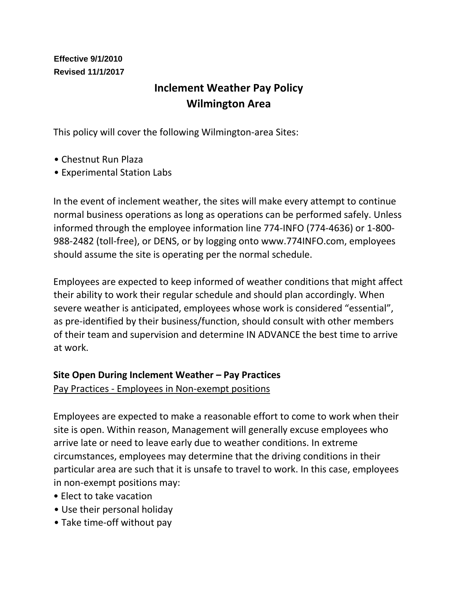#### **Effective 9/1/2010 Revised 11/1/2017**

# **Inclement Weather Pay Policy Wilmington Area**

This policy will cover the following Wilmington-area Sites:

- Chestnut Run Plaza
- Experimental Station Labs

In the event of inclement weather, the sites will make every attempt to continue normal business operations as long as operations can be performed safely. Unless informed through the employee information line 774-INFO (774-4636) or 1-800- 988-2482 (toll-free), or DENS, or by logging onto www.774INFO.com, employees should assume the site is operating per the normal schedule.

Employees are expected to keep informed of weather conditions that might affect their ability to work their regular schedule and should plan accordingly. When severe weather is anticipated, employees whose work is considered "essential", as pre-identified by their business/function, should consult with other members of their team and supervision and determine IN ADVANCE the best time to arrive at work.

#### **Site Open During Inclement Weather – Pay Practices**

Pay Practices - Employees in Non-exempt positions

Employees are expected to make a reasonable effort to come to work when their site is open. Within reason, Management will generally excuse employees who arrive late or need to leave early due to weather conditions. In extreme circumstances, employees may determine that the driving conditions in their particular area are such that it is unsafe to travel to work. In this case, employees in non-exempt positions may:

- Elect to take vacation
- Use their personal holiday
- Take time-off without pay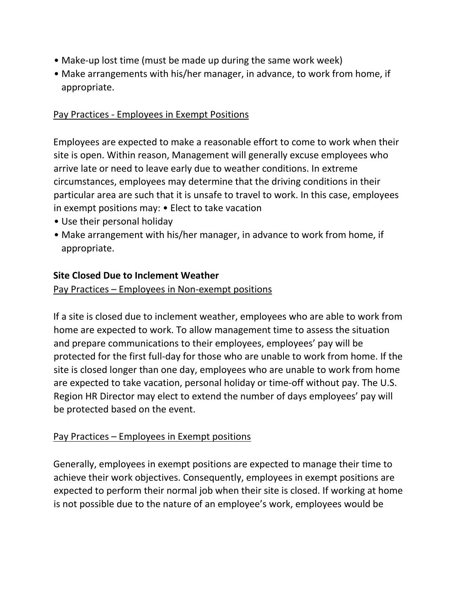- Make-up lost time (must be made up during the same work week)
- Make arrangements with his/her manager, in advance, to work from home, if appropriate.

#### Pay Practices - Employees in Exempt Positions

Employees are expected to make a reasonable effort to come to work when their site is open. Within reason, Management will generally excuse employees who arrive late or need to leave early due to weather conditions. In extreme circumstances, employees may determine that the driving conditions in their particular area are such that it is unsafe to travel to work. In this case, employees in exempt positions may: • Elect to take vacation

- Use their personal holiday
- Make arrangement with his/her manager, in advance to work from home, if appropriate.

#### **Site Closed Due to Inclement Weather**

#### Pay Practices – Employees in Non-exempt positions

If a site is closed due to inclement weather, employees who are able to work from home are expected to work. To allow management time to assess the situation and prepare communications to their employees, employees' pay will be protected for the first full-day for those who are unable to work from home. If the site is closed longer than one day, employees who are unable to work from home are expected to take vacation, personal holiday or time-off without pay. The U.S. Region HR Director may elect to extend the number of days employees' pay will be protected based on the event.

#### Pay Practices – Employees in Exempt positions

Generally, employees in exempt positions are expected to manage their time to achieve their work objectives. Consequently, employees in exempt positions are expected to perform their normal job when their site is closed. If working at home is not possible due to the nature of an employee's work, employees would be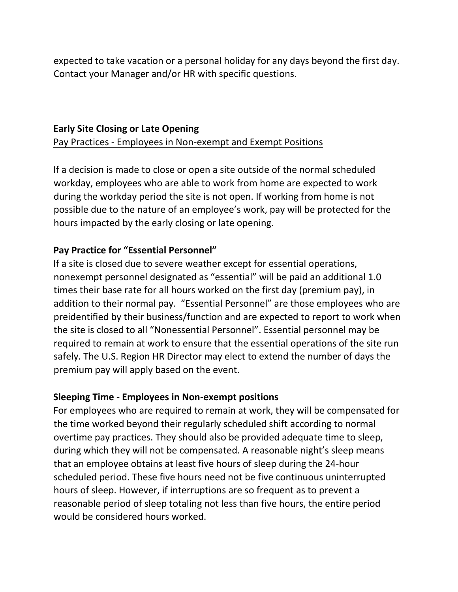expected to take vacation or a personal holiday for any days beyond the first day. Contact your Manager and/or HR with specific questions.

#### **Early Site Closing or Late Opening**

Pay Practices - Employees in Non-exempt and Exempt Positions

If a decision is made to close or open a site outside of the normal scheduled workday, employees who are able to work from home are expected to work during the workday period the site is not open. If working from home is not possible due to the nature of an employee's work, pay will be protected for the hours impacted by the early closing or late opening.

#### **Pay Practice for "Essential Personnel"**

If a site is closed due to severe weather except for essential operations, nonexempt personnel designated as "essential" will be paid an additional 1.0 times their base rate for all hours worked on the first day (premium pay), in addition to their normal pay. "Essential Personnel" are those employees who are preidentified by their business/function and are expected to report to work when the site is closed to all "Nonessential Personnel". Essential personnel may be required to remain at work to ensure that the essential operations of the site run safely. The U.S. Region HR Director may elect to extend the number of days the premium pay will apply based on the event.

#### **Sleeping Time - Employees in Non-exempt positions**

For employees who are required to remain at work, they will be compensated for the time worked beyond their regularly scheduled shift according to normal overtime pay practices. They should also be provided adequate time to sleep, during which they will not be compensated. A reasonable night's sleep means that an employee obtains at least five hours of sleep during the 24-hour scheduled period. These five hours need not be five continuous uninterrupted hours of sleep. However, if interruptions are so frequent as to prevent a reasonable period of sleep totaling not less than five hours, the entire period would be considered hours worked.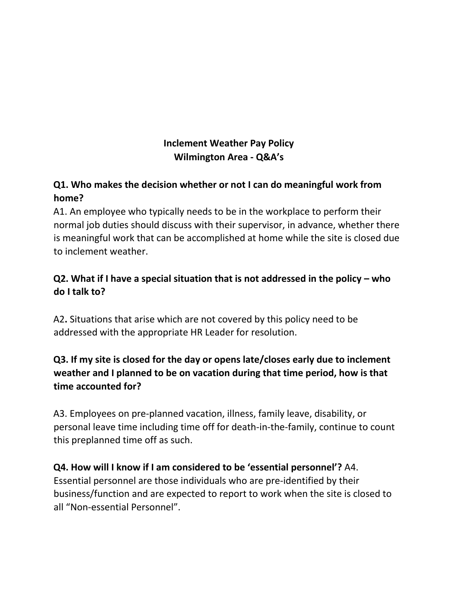### **Inclement Weather Pay Policy Wilmington Area - Q&A's**

# **Q1. Who makes the decision whether or not I can do meaningful work from home?**

A1. An employee who typically needs to be in the workplace to perform their normal job duties should discuss with their supervisor, in advance, whether there is meaningful work that can be accomplished at home while the site is closed due to inclement weather.

# **Q2. What if I have a special situation that is not addressed in the policy – who do I talk to?**

A2**.** Situations that arise which are not covered by this policy need to be addressed with the appropriate HR Leader for resolution.

# **Q3. If my site is closed for the day or opens late/closes early due to inclement weather and I planned to be on vacation during that time period, how is that time accounted for?**

A3. Employees on pre-planned vacation, illness, family leave, disability, or personal leave time including time off for death-in-the-family, continue to count this preplanned time off as such.

# **Q4. How will I know if I am considered to be 'essential personnel'?** A4.

Essential personnel are those individuals who are pre-identified by their business/function and are expected to report to work when the site is closed to all "Non-essential Personnel".